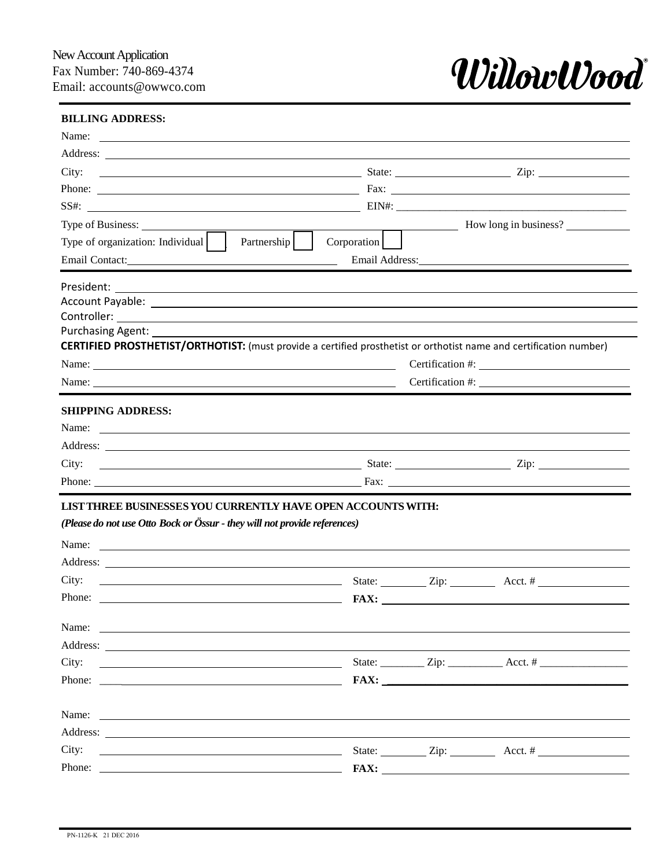

## **BILLING ADDRESS:**

| Address: <u>and the community of the community of the community of the community of the community of the community of the community of the community of the community of the community of the community of the community of the </u> |             |                                                                                                                                                                                                                                                                                                                                                                                                                                   |  |
|--------------------------------------------------------------------------------------------------------------------------------------------------------------------------------------------------------------------------------------|-------------|-----------------------------------------------------------------------------------------------------------------------------------------------------------------------------------------------------------------------------------------------------------------------------------------------------------------------------------------------------------------------------------------------------------------------------------|--|
| City:                                                                                                                                                                                                                                |             |                                                                                                                                                                                                                                                                                                                                                                                                                                   |  |
|                                                                                                                                                                                                                                      |             |                                                                                                                                                                                                                                                                                                                                                                                                                                   |  |
|                                                                                                                                                                                                                                      |             |                                                                                                                                                                                                                                                                                                                                                                                                                                   |  |
|                                                                                                                                                                                                                                      |             | $\frac{1}{\sqrt{1-\frac{1}{\sqrt{1-\frac{1}{\sqrt{1-\frac{1}{\sqrt{1-\frac{1}{\sqrt{1-\frac{1}{\sqrt{1-\frac{1}{\sqrt{1-\frac{1}{\sqrt{1-\frac{1}{\sqrt{1-\frac{1}{\sqrt{1-\frac{1}{\sqrt{1-\frac{1}{\sqrt{1-\frac{1}{\sqrt{1-\frac{1}{\sqrt{1-\frac{1}{\sqrt{1-\frac{1}{\sqrt{1-\frac{1}{\sqrt{1-\frac{1}{\sqrt{1-\frac{1}{\sqrt{1-\frac{1}{\sqrt{1-\frac{1}{\sqrt{1-\frac{1}{\sqrt{1-\frac{1}{\sqrt{1-\frac{1}{\sqrt{1-\frac{1$ |  |
| Partnership  <br>Type of organization: Individual                                                                                                                                                                                    | Corporation |                                                                                                                                                                                                                                                                                                                                                                                                                                   |  |
| Email Contact: New York Contact:                                                                                                                                                                                                     |             | Email Address: No. 1996                                                                                                                                                                                                                                                                                                                                                                                                           |  |
|                                                                                                                                                                                                                                      |             |                                                                                                                                                                                                                                                                                                                                                                                                                                   |  |
| Account Payable: <u>Account Payable</u> : Account Payable: Account Payable: Account Payable: Account Payable: Account                                                                                                                |             |                                                                                                                                                                                                                                                                                                                                                                                                                                   |  |
|                                                                                                                                                                                                                                      |             |                                                                                                                                                                                                                                                                                                                                                                                                                                   |  |
| Purchasing Agent: 1997                                                                                                                                                                                                               |             |                                                                                                                                                                                                                                                                                                                                                                                                                                   |  |
| <b>CERTIFIED PROSTHETIST/ORTHOTIST:</b> (must provide a certified prosthetist or orthotist name and certification number)                                                                                                            |             |                                                                                                                                                                                                                                                                                                                                                                                                                                   |  |
|                                                                                                                                                                                                                                      |             | Certification #:                                                                                                                                                                                                                                                                                                                                                                                                                  |  |
|                                                                                                                                                                                                                                      |             |                                                                                                                                                                                                                                                                                                                                                                                                                                   |  |
| <b>SHIPPING ADDRESS:</b>                                                                                                                                                                                                             |             |                                                                                                                                                                                                                                                                                                                                                                                                                                   |  |
|                                                                                                                                                                                                                                      |             |                                                                                                                                                                                                                                                                                                                                                                                                                                   |  |
|                                                                                                                                                                                                                                      |             |                                                                                                                                                                                                                                                                                                                                                                                                                                   |  |
|                                                                                                                                                                                                                                      |             |                                                                                                                                                                                                                                                                                                                                                                                                                                   |  |
|                                                                                                                                                                                                                                      |             |                                                                                                                                                                                                                                                                                                                                                                                                                                   |  |
|                                                                                                                                                                                                                                      |             |                                                                                                                                                                                                                                                                                                                                                                                                                                   |  |
| $\frac{1}{2}$ State: $\frac{1}{2}$ Zip: $\frac{1}{2}$ Acct. #                                                                                                                                                                        |             |                                                                                                                                                                                                                                                                                                                                                                                                                                   |  |
| LIST THREE BUSINESSES YOU CURRENTLY HAVE OPEN ACCOUNTS WITH:<br>(Please do not use Otto Bock or Össur - they will not provide references)<br>City:                                                                                   |             |                                                                                                                                                                                                                                                                                                                                                                                                                                   |  |
| Name:                                                                                                                                                                                                                                |             |                                                                                                                                                                                                                                                                                                                                                                                                                                   |  |
|                                                                                                                                                                                                                                      |             |                                                                                                                                                                                                                                                                                                                                                                                                                                   |  |
| <u> 1980 - Andrea Brand, amerikansk politik (d. 1980)</u>                                                                                                                                                                            |             |                                                                                                                                                                                                                                                                                                                                                                                                                                   |  |
| City:                                                                                                                                                                                                                                |             |                                                                                                                                                                                                                                                                                                                                                                                                                                   |  |
|                                                                                                                                                                                                                                      |             |                                                                                                                                                                                                                                                                                                                                                                                                                                   |  |
| Name:                                                                                                                                                                                                                                |             | $\text{FAX:}$                                                                                                                                                                                                                                                                                                                                                                                                                     |  |
| City:<br>$\frac{1}{2}$ State: $\frac{1}{2}$ Zip: $\frac{1}{2}$ Acct. #                                                                                                                                                               |             |                                                                                                                                                                                                                                                                                                                                                                                                                                   |  |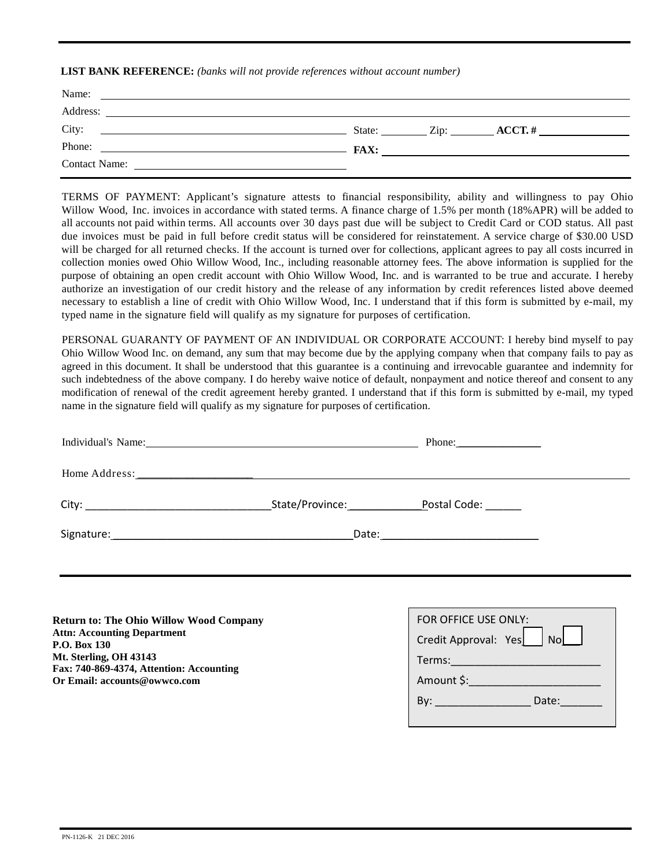**LIST BANK REFERENCE:** *(banks will not provide references without account number)*

| Name:<br><u> 1989 - Jan Sarajević, politički politički politički politički karaliziran (da svjetla politička politička po</u> |  |                                                                  |
|-------------------------------------------------------------------------------------------------------------------------------|--|------------------------------------------------------------------|
| Address:                                                                                                                      |  |                                                                  |
| City:                                                                                                                         |  | State: $\qquad \qquad \text{Zip:} \qquad \qquad \text{ACCT.} \#$ |
| Phone:<br><b>EXECUTE:</b> FAX:                                                                                                |  |                                                                  |
| <b>Contact Name:</b>                                                                                                          |  |                                                                  |

TERMS OF PAYMENT: Applicant's signature attests to financial responsibility, ability and willingness to pay Ohio Willow Wood, Inc. invoices in accordance with stated terms. A finance charge of 1.5% per month (18%APR) will be added to all accounts not paid within terms. All accounts over 30 days past due will be subject to Credit Card or COD status. All past due invoices must be paid in full before credit status will be considered for reinstatement. A service charge of \$30.00 USD will be charged for all returned checks. If the account is turned over for collections, applicant agrees to pay all costs incurred in collection monies owed Ohio Willow Wood, Inc., including reasonable attorney fees. The above information is supplied for the purpose of obtaining an open credit account with Ohio Willow Wood, Inc. and is warranted to be true and accurate. I hereby authorize an investigation of our credit history and the release of any information by credit references listed above deemed necessary to establish a line of credit with Ohio Willow Wood, Inc. I understand that if this form is submitted by e-mail, my typed name in the signature field will qualify as my signature for purposes of certification.

PERSONAL GUARANTY OF PAYMENT OF AN INDIVIDUAL OR CORPORATE ACCOUNT: I hereby bind myself to pay Ohio Willow Wood Inc. on demand, any sum that may become due by the applying company when that company fails to pay as agreed in this document. It shall be understood that this guarantee is a continuing and irrevocable guarantee and indemnity for such indebtedness of the above company. I do hereby waive notice of default, nonpayment and notice thereof and consent to any modification of renewal of the credit agreement hereby granted. I understand that if this form is submitted by e-mail, my typed name in the signature field will qualify as my signature for purposes of certification.

|                 | Phone: $\qquad \qquad$       |
|-----------------|------------------------------|
|                 |                              |
| State/Province: | Postal Code: National Postal |
|                 |                              |
|                 |                              |
|                 |                              |

**Return to: The Ohio Willow Wood Company Attn: Accounting Department P.O. Box 130 Mt. Sterling, OH 43143 Fax: 740-869-4374, Attention: Accounting Or Email: accounts@owwco.com**

| FOR OFFICE USE ONLY:                                         |  |  |  |  |  |
|--------------------------------------------------------------|--|--|--|--|--|
| Credit Approval: Yes   No                                    |  |  |  |  |  |
| Terms:                                                       |  |  |  |  |  |
| Amount \$:                                                   |  |  |  |  |  |
| Date:<br>Bv:<br>the control of the control of the control of |  |  |  |  |  |
|                                                              |  |  |  |  |  |